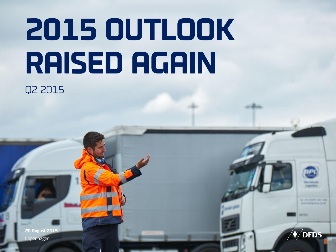# **2015 OUTLOOK RAISED AGAIN**  Q2 2015

**20 August 2015** Copenhagen

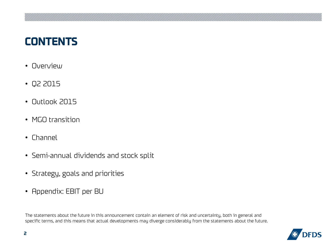### **CONTENTS**

- Overview
- Q2 2015
- Outlook 2015
- MGO transition
- Channel
- Semi-annual dividends and stock split
- Strategy, goals and priorities
- Appendix: EBIT per BU

The statements about the future in this announcement contain an element of risk and uncertainty, both in general and specific terms, and this means that actual developments may diverge considerably from the statements about the future.

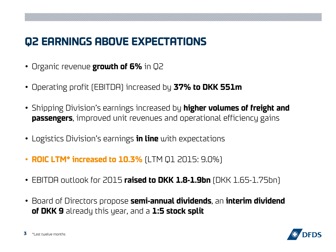## **Q2 EARNINGS ABOVE EXPECTATIONS**

- Organic revenue **growth of 6%** in Q2
- Operating profit (EBITDA) increased by **37% to DKK 551m**
- Shipping Division's earnings increased by **higher volumes of freight and passengers**, improved unit revenues and operational efficiency gains
- Logistics Division's earnings **in line** with expectations
- **ROIC LTM\* increased to 10.3%** (LTM Q1 2015: 9.0%)
- EBITDA outlook for 2015 **raised to DKK 1.8-1.9bn** (DKK 1.65-1.75bn)
- Board of Directors propose **semi-annual dividends**, an **interim dividend of DKK 9** already this year, and a **1:5 stock split**

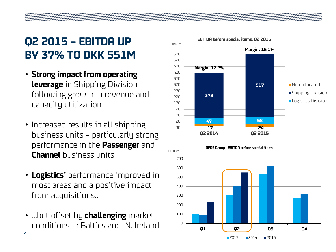# **Q2 2015 – EBITDA UP BY 37% TO DKK 551M**

- **Strong impact from operating leverage** in Shipping Division following growth in revenue and capacity utilization
- Increased results in all shipping business units – particularly strong performance in the **Passenger** and **Channel** business units
- **Logistics'** performance improved in most areas and a positive impact from acquisitions…
- …but offset by **challenging** market conditions in Baltics and N. Ireland

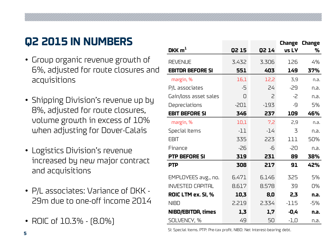# **Q2 2015 IN NUMBERS**

- Group organic revenue growth of 6%, adjusted for route closures and acquisitions
- Shipping Division's revenue up by 8%, adjusted for route closures, volume growth in excess of 10% when adjusting for Dover-Calais • Group organic revenue growth of REVENT<br>
6%, adjusted for route closures and **EBITDA**<br>
acquisitions<br>
• Shipping Division's revenue up by  $\frac{Gain/10s}{DPL}$ <br>
8%, adjusted for route closures, **EBIT BE**<br>
volume growth in excess
- Logistics Division's revenue increased by new major contract and acquisitions
- P/L associates: Variance of DKK 29m due to one-off income 2014
- 

|                           |        |        |        | <b>Change Change</b> |
|---------------------------|--------|--------|--------|----------------------|
| DKK $m1$                  | Q2 15  | Q2 14  | vs LY  | ℅                    |
| <b>REVENUE</b>            | 3.432  | 3.306  | 126    | 4%                   |
| <b>EBITDA BEFORE SI</b>   | 551    | 403    | 149    | 37%                  |
| margin, %                 | 16,1   | 12,2   | 3,9    | n.a.                 |
| P/L associates            | -5     | 24     | -29    | n.a.                 |
| Gain/loss asset sales     | 0      | 2      | $-2$   | n.a.                 |
| Depreciations             | $-201$ | $-193$ | -9     | 5%                   |
| <b>EBIT BEFORE SI</b>     | 346    | 237    | 109    | 46%                  |
| margin, %                 | 10,1   | 7,2    | 2,9    | n.a.                 |
| Special Items             | $-11$  | $-14$  | 3      | n.a.                 |
| <b>EBIT</b>               | 335    | 223    | 111    | 50%                  |
| Finance                   | $-26$  | -6     | -20    | n.a.                 |
| <b>PTP BEFORE SI</b>      | 319    | 231    | 89     | 38%                  |
| <b>PTP</b>                | 308    | 217    | 91     | 42%                  |
| EMPLOYEES avg., no.       | 6.471  | 6.146  | 325    | 5%                   |
| <b>INVESTED CAPITAL</b>   | 8.617  | 8.578  | 39     | 0%                   |
| ROIC LTM ex. SI, %        | 10,3   | 8,0    | 2,3    | n.a.                 |
| <b>NIBD</b>               | 2.219  | 2.334  | $-115$ | $-5%$                |
| <b>NIBD/EBITDA, times</b> | 1,3    | 1,7    | -0,4   | n.a.                 |
| SOLVENCY, %               | 49     | 50     | $-1,0$ | n.a.                 |

SI: Special items. PTP: Pre-tax profit. NIBD: Net interest-bearing debt.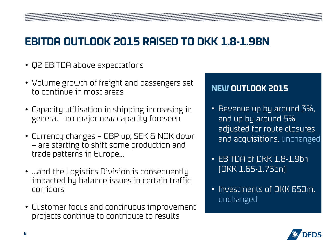### **EBITDA OUTLOOK 2015 RAISED TO DKK 1.8-1.9BN**

- Q2 EBITDA above expectations
- Volume growth of freight and passengers set to continue in most areas
- Capacity utilisation in shipping increasing in general - no major new capacity foreseen
- Currency changes GBP up, SEK & NOK down – are starting to shift some production and trade patterns in Europe…
- …and the Logistics Division is consequently impacted by balance issues in certain traffic corridors
- Customer focus and continuous improvement projects continue to contribute to results

#### **NEW OUTLOOK 2015**

- Revenue up by around 3%, and up by around 5% adjusted for route closures and acquisitions, unchanged
- EBITDA of DKK 1.8-1.9bn (DKK 1.65-1.75bn)
- Investments of DKK 650m, unchanged

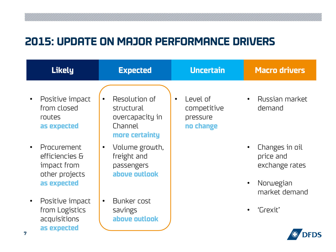#### **2015: UPDATE ON MAJOR PERFORMANCE DRIVERS**

| <b>Likely</b>                                                                 | <b>Expected</b>                                                             | <b>Uncertain</b>                                              | <b>Macro drivers</b>                                                        |
|-------------------------------------------------------------------------------|-----------------------------------------------------------------------------|---------------------------------------------------------------|-----------------------------------------------------------------------------|
| Positive impact<br>$\bullet$<br>from closed<br>routes<br>as expected          | Resolution of<br>structural<br>overcapacity in<br>Channel<br>more certainty | Level of<br>$\bullet$<br>competitive<br>pressure<br>no change | Russian market<br>demand                                                    |
| Procurement<br>efficiencies &<br>impact from<br>other projects<br>as expected | Volume growth,<br>$\bullet$<br>freight and<br>passengers<br>above outlook   |                                                               | Changes in oil<br>price and<br>exchange rates<br>Norwegian<br>market demand |
| Positive impact<br>from Logistics<br>acquisitions<br>as expected<br>7         | Bunker cost<br>$\bullet$<br>savings<br>above outlook                        |                                                               | 'Grexit'                                                                    |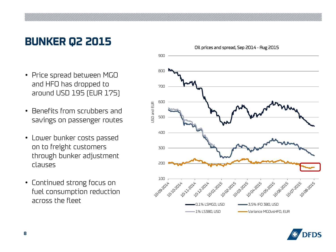#### **BUNKER Q2 2015**

- Price spread between MGO and HFO has dropped to around USD 195 (EUR 175)
- Benefits from scrubbers and savings on passenger routes
- Lower bunker costs passed on to freight customers through bunker adjustment clauses
- Continued strong focus on fuel consumption reduction across the fleet



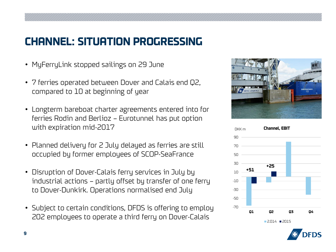## **CHANNEL: SITUATION PROGRESSING**

- MyFerryLink stopped sailings on 29 June
- 7 ferries operated between Dover and Calais end Q2, compared to 10 at beginning of year
- Longterm bareboat charter agreements entered into for ferries Rodin and Berlioz – Eurotunnel has put option with expiration mid-2017
- Planned delivery for 2 July delayed as ferries are still occupied by former employees of SCOP-SeaFrance
- Disruption of Dover-Calais ferry services in July by industrial actions – partly offset by transfer of one ferry to Dover-Dunkirk. Operations normalised end July
- Subject to certain conditions, DFDS is offering to employ 202 employees to operate a third ferry on Dover-Calais





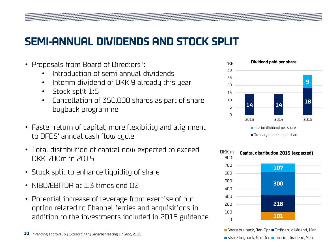#### **SEMI-ANNUAL DIVIDENDS AND STOCK SPLIT**

- Proposals from Board of Directors\*:
	- Introduction of semi-annual dividends
	- Interim dividend of DKK 9 already this year
	- Stock split 1:5
	- Cancellation of 350,000 shares as part of share buyback programme
- Faster return of capital, more flexibility and alignment to DFDS' annual cash flow cycle
- Total distribution of capital now expected to exceed DKK 700m in 2015
- Stock split to enhance liquidity of share
- NIBD/EBITDA at 1.3 times end Q2
- Potential increase of leverage from exercise of put option related to Channel ferries and acquisitions in addition to the investments included in 2015 guidance





■ Share buyback, Jan-Apr ■ Ordinary dividend, Mar Share buyback, Apr-Dec Interim dividend, Sep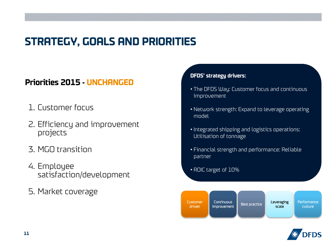#### **STRATEGY, GOALS AND PRIORITIES**

#### **Priorities 2015 - UNCHANGED**

- 1. Customer focus
- 2. Efficiency and improvement projects
- 3. MGO transition
- 4. Employee satisfaction/development
- 5. Market coverage

#### **DFDS' strategy drivers:**

- The DFDS Way: Customer focus and continuous improvement
- Network strength: Expand to leverage operating model
- Integrated shipping and logistics operations: Utilisation of tonnage
- Financial strength and performance: Reliable partner
- ROIC target of 10%



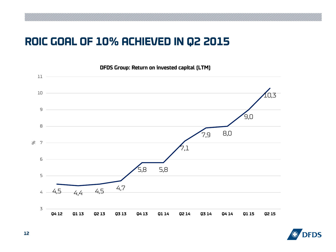#### **ROIC GOAL OF 10% ACHIEVED IN Q2 2015**



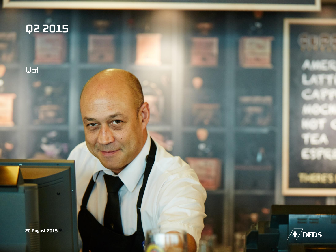